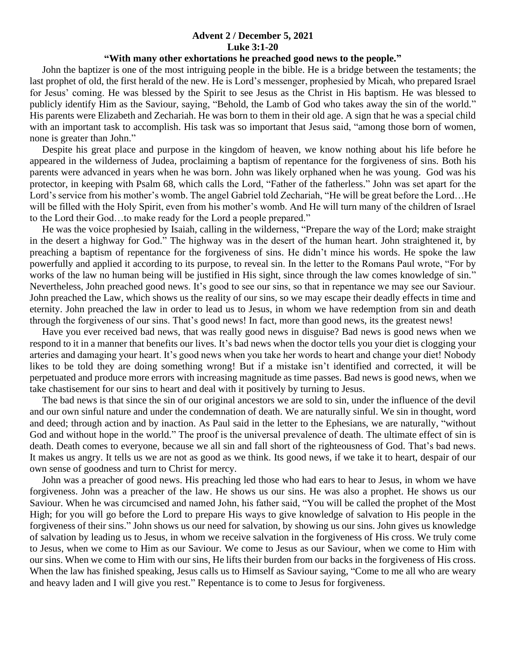## **Advent 2 / December 5, 2021 Luke 3:1-20**

## **"With many other exhortations he preached good news to the people."**

 John the baptizer is one of the most intriguing people in the bible. He is a bridge between the testaments; the last prophet of old, the first herald of the new. He is Lord's messenger, prophesied by Micah, who prepared Israel for Jesus' coming. He was blessed by the Spirit to see Jesus as the Christ in His baptism. He was blessed to publicly identify Him as the Saviour, saying, "Behold, the Lamb of God who takes away the sin of the world." His parents were Elizabeth and Zechariah. He was born to them in their old age. A sign that he was a special child with an important task to accomplish. His task was so important that Jesus said, "among those born of women, none is greater than John."

 Despite his great place and purpose in the kingdom of heaven, we know nothing about his life before he appeared in the wilderness of Judea, proclaiming a baptism of repentance for the forgiveness of sins. Both his parents were advanced in years when he was born. John was likely orphaned when he was young. God was his protector, in keeping with Psalm 68, which calls the Lord, "Father of the fatherless." John was set apart for the Lord's service from his mother's womb. The angel Gabriel told Zechariah, "He will be great before the Lord…He will be filled with the Holy Spirit, even from his mother's womb. And He will turn many of the children of Israel to the Lord their God…to make ready for the Lord a people prepared."

 He was the voice prophesied by Isaiah, calling in the wilderness, "Prepare the way of the Lord; make straight in the desert a highway for God." The highway was in the desert of the human heart. John straightened it, by preaching a baptism of repentance for the forgiveness of sins. He didn't mince his words. He spoke the law powerfully and applied it according to its purpose, to reveal sin. In the letter to the Romans Paul wrote, "For by works of the law no human being will be justified in His sight, since through the law comes knowledge of sin." Nevertheless, John preached good news. It's good to see our sins, so that in repentance we may see our Saviour. John preached the Law, which shows us the reality of our sins, so we may escape their deadly effects in time and eternity. John preached the law in order to lead us to Jesus, in whom we have redemption from sin and death through the forgiveness of our sins. That's good news! In fact, more than good news, its the greatest news!

 Have you ever received bad news, that was really good news in disguise? Bad news is good news when we respond to it in a manner that benefits our lives. It's bad news when the doctor tells you your diet is clogging your arteries and damaging your heart. It's good news when you take her words to heart and change your diet! Nobody likes to be told they are doing something wrong! But if a mistake isn't identified and corrected, it will be perpetuated and produce more errors with increasing magnitude as time passes. Bad news is good news, when we take chastisement for our sins to heart and deal with it positively by turning to Jesus.

 The bad news is that since the sin of our original ancestors we are sold to sin, under the influence of the devil and our own sinful nature and under the condemnation of death. We are naturally sinful. We sin in thought, word and deed; through action and by inaction. As Paul said in the letter to the Ephesians, we are naturally, "without God and without hope in the world." The proof is the universal prevalence of death. The ultimate effect of sin is death. Death comes to everyone, because we all sin and fall short of the righteousness of God. That's bad news. It makes us angry. It tells us we are not as good as we think. Its good news, if we take it to heart, despair of our own sense of goodness and turn to Christ for mercy.

 John was a preacher of good news. His preaching led those who had ears to hear to Jesus, in whom we have forgiveness. John was a preacher of the law. He shows us our sins. He was also a prophet. He shows us our Saviour. When he was circumcised and named John, his father said, "You will be called the prophet of the Most High; for you will go before the Lord to prepare His ways to give knowledge of salvation to His people in the forgiveness of their sins." John shows us our need for salvation, by showing us our sins. John gives us knowledge of salvation by leading us to Jesus, in whom we receive salvation in the forgiveness of His cross. We truly come to Jesus, when we come to Him as our Saviour. We come to Jesus as our Saviour, when we come to Him with our sins. When we come to Him with our sins, He lifts their burden from our backs in the forgiveness of His cross. When the law has finished speaking, Jesus calls us to Himself as Saviour saying, "Come to me all who are weary and heavy laden and I will give you rest." Repentance is to come to Jesus for forgiveness.